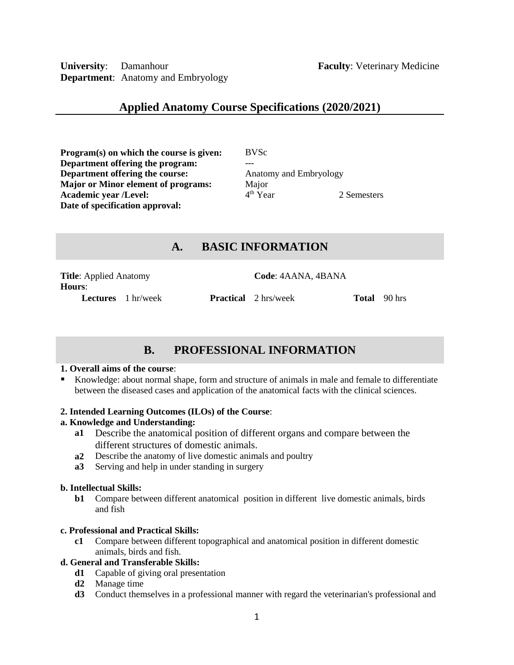**University**: Damanhour **Faculty**: Veterinary Medicine **Department**: Anatomy and Embryology

## **Applied Anatomy Course Specifications (2020/2021)**

**Program(s) on which the course is given:** BVSc **Department offering the program:** --- **Department offering the course:** Anatomy and Embryology **Major or Minor element of programs:** Major<br>**Academic vear /Level:** 4<sup>th</sup> Year **Academic year /Level:** 4 **Date of specification approval:**

2 Semesters

## **A. BASIC INFORMATION**

**Title**: Applied Anatomy **Code**: 4AANA, 4BANA **Hours**:

**Lectures** 1 hr/week **Practical** 2 hrs/week **Total** 90 hrs

# **B. PROFESSIONAL INFORMATION**

## **1. Overall aims of the course**:

 Knowledge: about normal shape, form and structure of animals in male and female to differentiate between the diseased cases and application of the anatomical facts with the clinical sciences.

## **2. Intended Learning Outcomes (ILOs) of the Course**:

## **a. Knowledge and Understanding:**

- **a1** Describe the anatomical position of different organs and compare between the different structures of domestic animals.
- **a2** Describe the anatomy of live domestic animals and poultry
- **a3** Serving and help in under standing in surgery

## **b. Intellectual Skills:**

**b1** Compare between different anatomical position in different live domestic animals, birds and fish

## **c. Professional and Practical Skills:**

**c1** Compare between different topographical and anatomical position in different domestic animals, birds and fish.

## **d. General and Transferable Skills:**

- **d1** Capable of giving oral presentation
- **d2** Manage time
- **d3** Conduct themselves in a professional manner with regard the veterinarian's professional and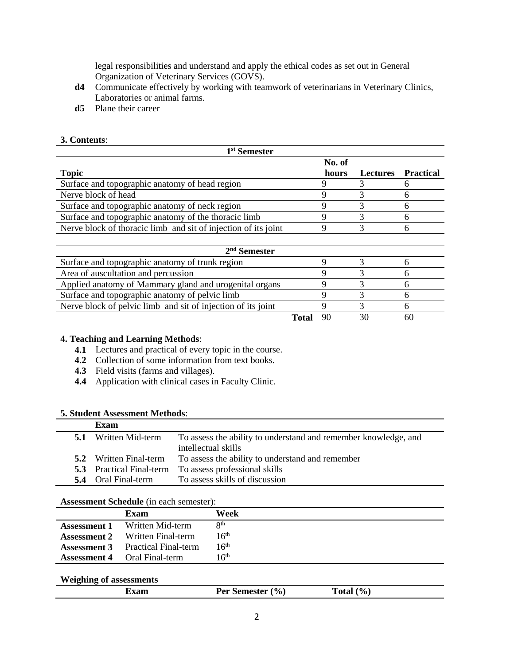legal responsibilities and understand and apply the ethical codes as set out in General Organization of Veterinary Services (GOVS).

- **d4** Communicate effectively by working with teamwork of veterinarians in Veterinary Clinics, Laboratories or animal farms.
- **d5** Plane their career

## **3. Contents**:

| 1 <sup>st</sup> Semester                                       |       |        |                 |                  |
|----------------------------------------------------------------|-------|--------|-----------------|------------------|
|                                                                |       | No. of |                 |                  |
| <b>Topic</b>                                                   |       | hours  | <b>Lectures</b> | <b>Practical</b> |
| Surface and topographic anatomy of head region                 |       | 9      | 3               | 6                |
| Nerve block of head                                            |       | 9      | 3               | 6                |
| Surface and topographic anatomy of neck region                 |       | 9      | 3               | 6                |
| Surface and topographic anatomy of the thoracic limb           |       | 9      | 3               | 6                |
| Nerve block of thoracic limb and sit of injection of its joint |       |        | 3               | 6                |
|                                                                |       |        |                 |                  |
| $2nd$ Semester                                                 |       |        |                 |                  |
| Surface and topographic anatomy of trunk region                |       | 9      | 3               | 6                |
| Area of auscultation and percussion                            |       | 9      | 3               | 6                |
| Applied anatomy of Mammary gland and urogenital organs         |       | 9      | 3               | 6                |
| Surface and topographic anatomy of pelvic limb                 |       | 9      | 3               | 6                |
| Nerve block of pelvic limb and sit of injection of its joint   |       | 9      | 3               | 6                |
|                                                                | Total | 90     | 30              | 60               |

## **4. Teaching and Learning Methods**:

- **4.1** Lectures and practical of every topic in the course.
- **4.2** Collection of some information from text books.
- **4.3** Field visits (farms and villages).
- **4.4** Application with clinical cases in Faculty Clinic.

#### **5. Student Assessment Methods**:

|     | Exam                            |                                                                 |
|-----|---------------------------------|-----------------------------------------------------------------|
| 5.1 | Written Mid-term                | To assess the ability to understand and remember knowledge, and |
|     |                                 | intellectual skills                                             |
| 5.2 | Written Final-term              | To assess the ability to understand and remember                |
|     | <b>5.3</b> Practical Final-term | To assess professional skills                                   |
|     | <b>5.4</b> Oral Final-term      | To assess skills of discussion                                  |

#### **Assessment Schedule** (in each semester):

|                     | Exam                        | Week             |
|---------------------|-----------------------------|------------------|
| <b>Assessment 1</b> | Written Mid-term            | <b>Qth</b>       |
| <b>Assessment 2</b> | Written Final-term          | 16 <sup>th</sup> |
| <b>Assessment 3</b> | <b>Practical Final-term</b> | 16 <sup>th</sup> |
| <b>Assessment 4</b> | Oral Final-term             | 16 <sup>th</sup> |

#### **Weighing of assessments**

| ы | $v_{0}$<br>_____________ | ' •<br>$-0.0002$ |  |
|---|--------------------------|------------------|--|
|   |                          |                  |  |